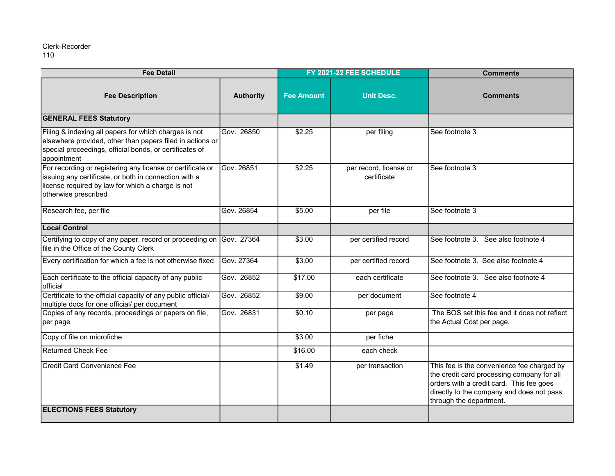| <b>Fee Detail</b>                                                                                                                                                                                |                  | FY 2021-22 FEE SCHEDULE |                                       | <b>Comments</b>                                                                                                                                                                                              |
|--------------------------------------------------------------------------------------------------------------------------------------------------------------------------------------------------|------------------|-------------------------|---------------------------------------|--------------------------------------------------------------------------------------------------------------------------------------------------------------------------------------------------------------|
| <b>Fee Description</b>                                                                                                                                                                           | <b>Authority</b> | <b>Fee Amount</b>       | <b>Unit Desc.</b>                     | <b>Comments</b>                                                                                                                                                                                              |
| <b>GENERAL FEES Statutory</b>                                                                                                                                                                    |                  |                         |                                       |                                                                                                                                                                                                              |
| Filing & indexing all papers for which charges is not<br>elsewhere provided, other than papers filed in actions or<br>special proceedings, official bonds, or certificates of<br>appointment     | Gov. 26850       | \$2.25                  | per filing                            | See footnote 3                                                                                                                                                                                               |
| For recording or registering any license or certificate or<br>issuing any certificate, or both in connection with a<br>license required by law for which a charge is not<br>otherwise prescribed | Gov. 26851       | \$2.25                  | per record, license or<br>certificate | See footnote 3                                                                                                                                                                                               |
| Research fee, per file                                                                                                                                                                           | Gov. 26854       | \$5.00                  | per file                              | See footnote 3                                                                                                                                                                                               |
| <b>Local Control</b>                                                                                                                                                                             |                  |                         |                                       |                                                                                                                                                                                                              |
| Certifying to copy of any paper, record or proceeding on<br>file in the Office of the County Clerk                                                                                               | Gov. 27364       | \$3.00                  | per certified record                  | See footnote 3. See also footnote 4                                                                                                                                                                          |
| Every certification for which a fee is not otherwise fixed                                                                                                                                       | Gov. 27364       | \$3.00                  | per certified record                  | See footnote 3. See also footnote 4                                                                                                                                                                          |
| Each certificate to the official capacity of any public<br>official                                                                                                                              | Gov. 26852       | \$17.00                 | each certificate                      | See footnote 3. See also footnote 4                                                                                                                                                                          |
| Certificate to the official capacity of any public official/<br>multiple docs for one official/ per document                                                                                     | Gov. 26852       | \$9.00                  | per document                          | See footnote 4                                                                                                                                                                                               |
| Copies of any records, proceedings or papers on file,<br>per page                                                                                                                                | Gov. 26831       | \$0.10                  | per page                              | The BOS set this fee and it does not reflect<br>the Actual Cost per page.                                                                                                                                    |
| Copy of file on microfiche                                                                                                                                                                       |                  | \$3.00                  | per fiche                             |                                                                                                                                                                                                              |
| <b>Returned Check Fee</b>                                                                                                                                                                        |                  | \$16.00                 | each check                            |                                                                                                                                                                                                              |
| <b>Credit Card Convenience Fee</b><br><b>ELECTIONS FEES Statutory</b>                                                                                                                            |                  | \$1.49                  | per transaction                       | This fee is the convenience fee charged by<br>the credit card processing company for all<br>orders with a credit card. This fee goes<br>directly to the company and does not pass<br>through the department. |
|                                                                                                                                                                                                  |                  |                         |                                       |                                                                                                                                                                                                              |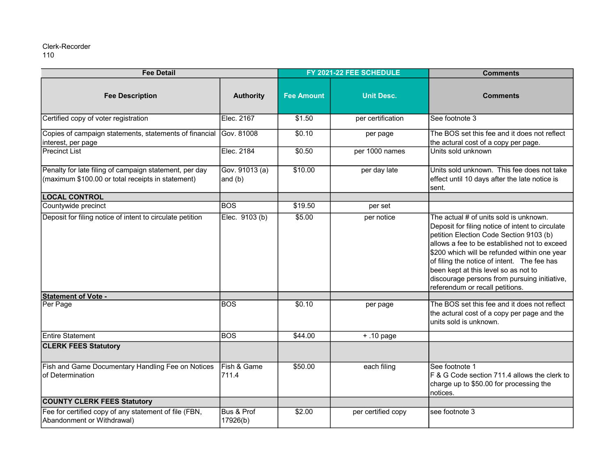| <b>Fee Detail</b>                                                                                           |                           | FY 2021-22 FEE SCHEDULE |                    | <b>Comments</b>                                                                                                                                                                                                                                                                                                                                                                                                 |
|-------------------------------------------------------------------------------------------------------------|---------------------------|-------------------------|--------------------|-----------------------------------------------------------------------------------------------------------------------------------------------------------------------------------------------------------------------------------------------------------------------------------------------------------------------------------------------------------------------------------------------------------------|
| <b>Fee Description</b>                                                                                      | <b>Authority</b>          | <b>Fee Amount</b>       | <b>Unit Desc.</b>  | <b>Comments</b>                                                                                                                                                                                                                                                                                                                                                                                                 |
| Certified copy of voter registration                                                                        | Elec. 2167                | $\overline{$}1.50$      | per certification  | See footnote 3                                                                                                                                                                                                                                                                                                                                                                                                  |
| Copies of campaign statements, statements of financial Gov. 81008<br>interest, per page                     |                           | \$0.10                  | per page           | The BOS set this fee and it does not reflect<br>the actural cost of a copy per page.                                                                                                                                                                                                                                                                                                                            |
| <b>Precinct List</b>                                                                                        | Elec. 2184                | \$0.50                  | per 1000 names     | Units sold unknown                                                                                                                                                                                                                                                                                                                                                                                              |
| Penalty for late filing of campaign statement, per day<br>(maximum \$100.00 or total receipts in statement) | Gov. 91013 (a)<br>and (b) | \$10.00                 | per day late       | Units sold unknown. This fee does not take<br>effect until 10 days after the late notice is<br>sent.                                                                                                                                                                                                                                                                                                            |
| <b>LOCAL CONTROL</b>                                                                                        |                           |                         |                    |                                                                                                                                                                                                                                                                                                                                                                                                                 |
| Countywide precinct                                                                                         | <b>BOS</b>                | \$19.50                 | per set            |                                                                                                                                                                                                                                                                                                                                                                                                                 |
| Deposit for filing notice of intent to circulate petition                                                   | Elec. 9103 (b)            | \$5.00                  | per notice         | The actual # of units sold is unknown.<br>Deposit for filing notice of intent to circulate<br>petition Election Code Section 9103 (b)<br>allows a fee to be established not to exceed<br>\$200 which will be refunded within one year<br>of filing the notice of intent. The fee has<br>been kept at this level so as not to<br>discourage persons from pursuing initiative,<br>referendum or recall petitions. |
| <b>Statement of Vote -</b>                                                                                  |                           |                         |                    |                                                                                                                                                                                                                                                                                                                                                                                                                 |
| Per Page                                                                                                    | <b>BOS</b>                | \$0.10                  | per page           | The BOS set this fee and it does not reflect<br>the actural cost of a copy per page and the<br>units sold is unknown.                                                                                                                                                                                                                                                                                           |
| <b>Entire Statement</b>                                                                                     | <b>BOS</b>                | \$44.00                 | $+.10$ page        |                                                                                                                                                                                                                                                                                                                                                                                                                 |
| <b>CLERK FEES Statutory</b>                                                                                 |                           |                         |                    |                                                                                                                                                                                                                                                                                                                                                                                                                 |
| <b>Fish and Game Documentary Handling Fee on Notices</b><br>of Determination                                | Fish & Game<br>711.4      | \$50.00                 | each filing        | See footnote 1<br>F & G Code section 711.4 allows the clerk to<br>charge up to \$50.00 for processing the<br>notices.                                                                                                                                                                                                                                                                                           |
| <b>COUNTY CLERK FEES Statutory</b>                                                                          |                           |                         |                    |                                                                                                                                                                                                                                                                                                                                                                                                                 |
| Fee for certified copy of any statement of file (FBN,<br>Abandonment or Withdrawal)                         | Bus & Prof<br>17926(b)    | \$2.00                  | per certified copy | see footnote 3                                                                                                                                                                                                                                                                                                                                                                                                  |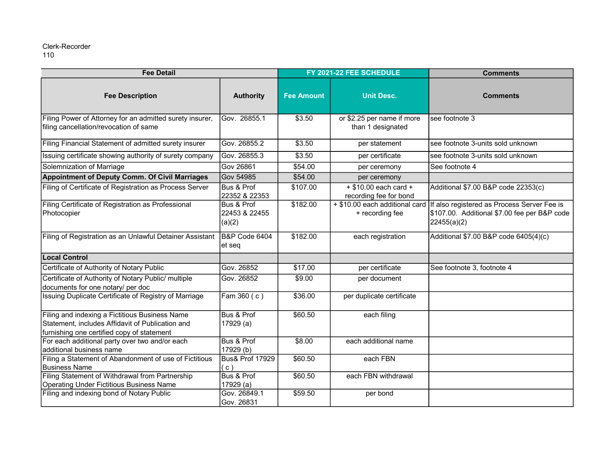| <b>Fee Detail</b>                                                                                                                                |                                       | FY 2021-22 FEE SCHEDULE |                                                     | <b>Comments</b>                                                                                            |
|--------------------------------------------------------------------------------------------------------------------------------------------------|---------------------------------------|-------------------------|-----------------------------------------------------|------------------------------------------------------------------------------------------------------------|
| <b>Fee Description</b>                                                                                                                           | <b>Authority</b>                      | <b>Fee Amount</b>       | <b>Unit Desc.</b>                                   | <b>Comments</b>                                                                                            |
| Filing Power of Attorney for an admitted surety insurer,<br>filing cancellation/revocation of same                                               | Gov. 26855.1                          | \$3.50                  | or \$2.25 per name if more<br>than 1 designated     | see footnote 3                                                                                             |
| Filing Financial Statement of admitted surety insurer                                                                                            | Gov. 26855.2                          | \$3.50                  | per statement                                       | see footnote 3-units sold unknown                                                                          |
| Issuing certificate showing authority of surety company                                                                                          | Gov. 26855.3                          | \$3.50                  | per certificate                                     | see footnote 3-units sold unknown                                                                          |
| Solemnization of Marriage                                                                                                                        | <b>Gov 26861</b>                      | \$54.00                 | per ceremony                                        | See footnote 4                                                                                             |
| Appointment of Deputy Comm. Of Civil Marriages                                                                                                   | <b>Gov 54985</b>                      | \$54.00                 | per ceremony                                        |                                                                                                            |
| Filing of Certificate of Registration as Process Server                                                                                          | Bus & Prof<br>22352 & 22353           | \$107.00                | $+$ \$10.00 each card $+$<br>recording fee for bond | Additional \$7.00 B&P code 22353(c)                                                                        |
| Filing Certificate of Registration as Professional<br>Photocopier                                                                                | Bus & Prof<br>22453 & 22455<br>(a)(2) | \$182.00                | + \$10.00 each additional card<br>+ recording fee   | If also registered as Process Server Fee is<br>\$107.00. Additional \$7.00 fee per B&P code<br>22455(a)(2) |
| Filing of Registration as an Unlawful Detainer Assistant                                                                                         | <b>B&amp;P Code 6404</b><br>et seq    | \$182.00                | each registration                                   | Additional \$7.00 B&P code 6405(4)(c)                                                                      |
| Local Control                                                                                                                                    |                                       |                         |                                                     |                                                                                                            |
| Certificate of Authority of Notary Public                                                                                                        | Gov. 26852                            | \$17.00                 | per certificate                                     | See footnote 3, footnote 4                                                                                 |
| Certificate of Authority of Notary Public/ multiple<br>documents for one notary/ per doc                                                         | Gov. 26852                            | \$9.00                  | per document                                        |                                                                                                            |
| Issuing Duplicate Certificate of Registry of Marriage                                                                                            | Fam $360(c)$                          | \$36.00                 | per duplicate certificate                           |                                                                                                            |
| Filing and indexing a Fictitious Business Name<br>Statement, includes Affidavit of Publication and<br>furnishing one certified copy of statement | Bus & Prof<br>17929 (a)               | \$60.50                 | each filing                                         |                                                                                                            |
| For each additional party over two and/or each<br>additional business name                                                                       | Bus & Prof<br>17929 (b)               | \$8.00                  | each additional name                                |                                                                                                            |
| Filing a Statement of Abandonment of use of Fictitious<br>Business Name                                                                          | <b>Bus&amp; Prof 17929</b><br>(c)     | \$60.50                 | each FBN                                            |                                                                                                            |
| Filing Statement of Withdrawal from Partnership<br>Operating Under Fictitious Business Name                                                      | Bus & Prof<br>17929 (a)               | \$60.50                 | each FBN withdrawal                                 |                                                                                                            |
| Filing and indexing bond of Notary Public                                                                                                        | Gov. 26849.1<br>Gov. 26831            | \$59.50                 | per bond                                            |                                                                                                            |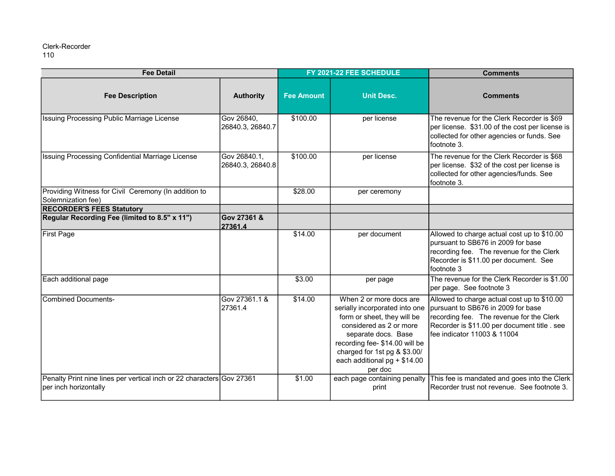| <b>Fee Detail</b>                                                                              |                                  | FY 2021-22 FEE SCHEDULE |                                                                                                                                                                                                                                                          | <b>Comments</b>                                                                                                                                                                                             |
|------------------------------------------------------------------------------------------------|----------------------------------|-------------------------|----------------------------------------------------------------------------------------------------------------------------------------------------------------------------------------------------------------------------------------------------------|-------------------------------------------------------------------------------------------------------------------------------------------------------------------------------------------------------------|
| <b>Fee Description</b>                                                                         | <b>Authority</b>                 | <b>Fee Amount</b>       | <b>Unit Desc.</b>                                                                                                                                                                                                                                        | <b>Comments</b>                                                                                                                                                                                             |
| Issuing Processing Public Marriage License                                                     | Gov 26840,<br>26840.3, 26840.7   | \$100.00                | per license                                                                                                                                                                                                                                              | The revenue for the Clerk Recorder is \$69<br>per license. \$31.00 of the cost per license is<br>collected for other agencies or funds. See<br>footnote 3.                                                  |
| Issuing Processing Confidential Marriage License                                               | Gov 26840.1,<br>26840.3, 26840.8 | \$100.00                | per license                                                                                                                                                                                                                                              | The revenue for the Clerk Recorder is \$68<br>per license. \$32 of the cost per license is<br>collected for other agencies/funds. See<br>footnote 3.                                                        |
| Providing Witness for Civil Ceremony (In addition to<br>Solemnization fee)                     |                                  | \$28.00                 | per ceremony                                                                                                                                                                                                                                             |                                                                                                                                                                                                             |
| <b>RECORDER'S FEES Statutory</b>                                                               |                                  |                         |                                                                                                                                                                                                                                                          |                                                                                                                                                                                                             |
| Regular Recording Fee (limited to 8.5" x 11")                                                  | Gov 27361 &<br>27361.4           |                         |                                                                                                                                                                                                                                                          |                                                                                                                                                                                                             |
| First Page                                                                                     |                                  | \$14.00                 | per document                                                                                                                                                                                                                                             | Allowed to charge actual cost up to \$10.00<br>pursuant to SB676 in 2009 for base<br>recording fee. The revenue for the Clerk<br>Recorder is \$11.00 per document. See<br>footnote 3                        |
| Each additional page                                                                           |                                  | \$3.00                  | per page                                                                                                                                                                                                                                                 | The revenue for the Clerk Recorder is \$1.00<br>per page. See footnote 3                                                                                                                                    |
| Combined Documents-                                                                            | Gov 27361.1 &<br>27361.4         | \$14.00                 | When 2 or more docs are<br>serially incorporated into one<br>form or sheet, they will be<br>considered as 2 or more<br>separate docs. Base<br>recording fee- \$14.00 will be<br>charged for 1st pg & \$3.00/<br>each additional $pg + $14.00$<br>per doc | Allowed to charge actual cost up to \$10.00<br>pursuant to SB676 in 2009 for base<br>recording fee. The revenue for the Clerk<br>Recorder is \$11.00 per document title. see<br>fee indicator 11003 & 11004 |
| Penalty Print nine lines per vertical inch or 22 characters Gov 27361<br>per inch horizontally |                                  | \$1.00                  | each page containing penalty<br>print                                                                                                                                                                                                                    | This fee is mandated and goes into the Clerk<br>Recorder trust not revenue. See footnote 3.                                                                                                                 |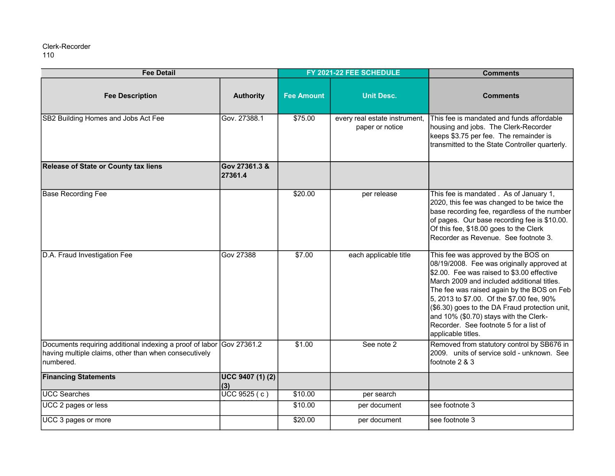| <b>Fee Detail</b>                                                                                                              |                          | FY 2021-22 FEE SCHEDULE |                                                  | <b>Comments</b>                                                                                                                                                                                                                                                                                                                                                                                                                      |
|--------------------------------------------------------------------------------------------------------------------------------|--------------------------|-------------------------|--------------------------------------------------|--------------------------------------------------------------------------------------------------------------------------------------------------------------------------------------------------------------------------------------------------------------------------------------------------------------------------------------------------------------------------------------------------------------------------------------|
| <b>Fee Description</b>                                                                                                         | <b>Authority</b>         | <b>Fee Amount</b>       | <b>Unit Desc.</b>                                | <b>Comments</b>                                                                                                                                                                                                                                                                                                                                                                                                                      |
| SB2 Building Homes and Jobs Act Fee                                                                                            | Gov. 27388.1             | \$75.00                 | every real estate instrument,<br>paper or notice | This fee is mandated and funds affordable<br>housing and jobs. The Clerk-Recorder<br>keeps \$3.75 per fee. The remainder is<br>transmitted to the State Controller quarterly.                                                                                                                                                                                                                                                        |
| <b>Release of State or County tax liens</b>                                                                                    | Gov 27361.3 &<br>27361.4 |                         |                                                  |                                                                                                                                                                                                                                                                                                                                                                                                                                      |
| <b>Base Recording Fee</b>                                                                                                      |                          | \$20.00                 | per release                                      | This fee is mandated. As of January 1,<br>2020, this fee was changed to be twice the<br>base recording fee, regardless of the number<br>of pages. Our base recording fee is \$10.00.<br>Of this fee, \$18.00 goes to the Clerk<br>Recorder as Revenue. See footnote 3.                                                                                                                                                               |
| D.A. Fraud Investigation Fee                                                                                                   | <b>Gov 27388</b>         | \$7.00                  | each applicable title                            | This fee was approved by the BOS on<br>08/19/2008. Fee was originally approved at<br>\$2.00. Fee was raised to \$3.00 effective<br>March 2009 and included additional titles.<br>The fee was raised again by the BOS on Feb<br>5, 2013 to \$7.00. Of the \$7.00 fee, 90%<br>(\$6.30) goes to the DA Fraud protection unit,<br>and 10% (\$0.70) stays with the Clerk-<br>Recorder. See footnote 5 for a list of<br>applicable titles. |
| Documents requiring additional indexing a proof of labor<br>having multiple claims, other than when consecutively<br>numbered. | Gov 27361.2              | \$1.00                  | See note 2                                       | Removed from statutory control by SB676 in<br>2009. units of service sold - unknown. See<br>footnote 2 & 3                                                                                                                                                                                                                                                                                                                           |
| <b>Financing Statements</b>                                                                                                    | UCC 9407 (1) (2)<br>(3)  |                         |                                                  |                                                                                                                                                                                                                                                                                                                                                                                                                                      |
| <b>UCC Searches</b>                                                                                                            | $UCC$ 9525 (c)           | \$10.00                 | per search                                       |                                                                                                                                                                                                                                                                                                                                                                                                                                      |
| UCC 2 pages or less                                                                                                            |                          | \$10.00                 | per document                                     | see footnote 3                                                                                                                                                                                                                                                                                                                                                                                                                       |
| UCC 3 pages or more                                                                                                            |                          | \$20.00                 | per document                                     | see footnote 3                                                                                                                                                                                                                                                                                                                                                                                                                       |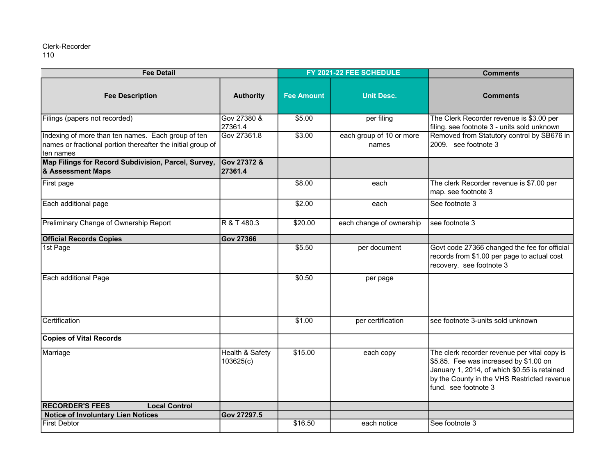| <b>Fee Detail</b>                                                                                                               |                                         | FY 2021-22 FEE SCHEDULE |                                   | <b>Comments</b>                                                                                                                                                                                               |
|---------------------------------------------------------------------------------------------------------------------------------|-----------------------------------------|-------------------------|-----------------------------------|---------------------------------------------------------------------------------------------------------------------------------------------------------------------------------------------------------------|
| <b>Fee Description</b>                                                                                                          | <b>Authority</b>                        | <b>Fee Amount</b>       | <b>Unit Desc.</b>                 | <b>Comments</b>                                                                                                                                                                                               |
| Filings (papers not recorded)                                                                                                   | Gov 27380 &<br>27361.4                  | \$5.00                  | per filing                        | The Clerk Recorder revenue is \$3.00 per<br>filing. see footnote 3 - units sold unknown                                                                                                                       |
| Indexing of more than ten names. Each group of ten<br>names or fractional portion thereafter the initial group of<br>Iten names | Gov 27361.8                             | \$3.00                  | each group of 10 or more<br>names | Removed from Statutory control by SB676 in<br>2009. see footnote 3                                                                                                                                            |
| Map Filings for Record Subdivision, Parcel, Survey,<br>& Assessment Maps                                                        | Gov 27372 &<br>27361.4                  |                         |                                   |                                                                                                                                                                                                               |
| <b>First page</b>                                                                                                               |                                         | \$8.00                  | each                              | The clerk Recorder revenue is \$7.00 per<br>map. see footnote 3                                                                                                                                               |
| Each additional page                                                                                                            |                                         | \$2.00                  | each                              | See footnote 3                                                                                                                                                                                                |
| Preliminary Change of Ownership Report                                                                                          | R & T 480.3                             | \$20.00                 | each change of ownership          | see footnote 3                                                                                                                                                                                                |
| <b>Official Records Copies</b>                                                                                                  | <b>Gov 27366</b>                        |                         |                                   |                                                                                                                                                                                                               |
| 1st Page                                                                                                                        |                                         | \$5.50                  | per document                      | Govt code 27366 changed the fee for official<br>records from \$1.00 per page to actual cost<br>recovery. see footnote 3                                                                                       |
| Each additional Page                                                                                                            |                                         | \$0.50                  | per page                          |                                                                                                                                                                                                               |
| Certification                                                                                                                   |                                         | \$1.00                  | per certification                 | see footnote 3-units sold unknown                                                                                                                                                                             |
| <b>Copies of Vital Records</b>                                                                                                  |                                         |                         |                                   |                                                                                                                                                                                                               |
| Marriage                                                                                                                        | <b>Health &amp; Safety</b><br>103625(c) | \$15.00                 | each copy                         | The clerk recorder revenue per vital copy is<br>\$5.85. Fee was increased by \$1.00 on<br>January 1, 2014, of which \$0.55 is retained<br>by the County in the VHS Restricted revenue<br>fund. see footnote 3 |
| <b>RECORDER'S FEES</b><br><b>Local Control</b>                                                                                  |                                         |                         |                                   |                                                                                                                                                                                                               |
| <b>Notice of Involuntary Lien Notices</b>                                                                                       | Gov 27297.5                             |                         |                                   |                                                                                                                                                                                                               |
| <b>First Debtor</b>                                                                                                             |                                         | \$16.50                 | each notice                       | See footnote 3                                                                                                                                                                                                |

110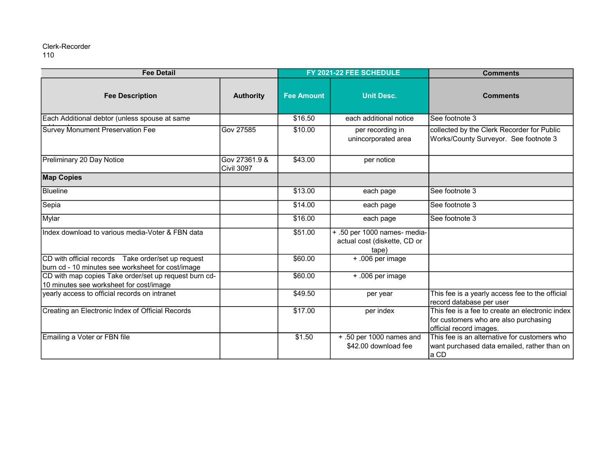| <b>Fee Detail</b>                                                                                        |                             | FY 2021-22 FEE SCHEDULE |                                                                       | <b>Comments</b>                                                                                                     |
|----------------------------------------------------------------------------------------------------------|-----------------------------|-------------------------|-----------------------------------------------------------------------|---------------------------------------------------------------------------------------------------------------------|
| <b>Fee Description</b>                                                                                   | <b>Authority</b>            | <b>Fee Amount</b>       | <b>Unit Desc.</b>                                                     | <b>Comments</b>                                                                                                     |
| Each Additional debtor (unless spouse at same                                                            |                             | \$16.50                 | each additional notice                                                | See footnote 3                                                                                                      |
| <b>Survey Monument Preservation Fee</b>                                                                  | <b>Gov 27585</b>            | \$10.00                 | per recording in<br>unincorporated area                               | collected by the Clerk Recorder for Public<br>Works/County Surveyor. See footnote 3                                 |
| Preliminary 20 Day Notice                                                                                | Gov 27361.9 &<br>Civil 3097 | \$43.00                 | per notice                                                            |                                                                                                                     |
| <b>Map Copies</b>                                                                                        |                             |                         |                                                                       |                                                                                                                     |
| <b>Blueline</b>                                                                                          |                             | \$13.00                 | each page                                                             | See footnote 3                                                                                                      |
| Sepia                                                                                                    |                             | \$14.00                 | each page                                                             | See footnote 3                                                                                                      |
| Mylar                                                                                                    |                             | \$16.00                 | each page                                                             | See footnote 3                                                                                                      |
| Index download to various media-Voter & FBN data                                                         |                             | \$51.00                 | + .50 per 1000 names- media-<br>actual cost (diskette, CD or<br>tape) |                                                                                                                     |
| CD with official records  Take order/set up request<br>burn cd - 10 minutes see worksheet for cost/image |                             | \$60.00                 | + .006 per image                                                      |                                                                                                                     |
| CD with map copies Take order/set up request burn cd-<br>10 minutes see worksheet for cost/image         |                             | \$60.00                 | + .006 per image                                                      |                                                                                                                     |
| yearly access to official records on intranet                                                            |                             | \$49.50                 | per year                                                              | This fee is a yearly access fee to the official<br>record database per user                                         |
| Creating an Electronic Index of Official Records                                                         |                             | \$17.00                 | per index                                                             | This fee is a fee to create an electronic index<br>for customers who are also purchasing<br>official record images. |
| Emailing a Voter or FBN file                                                                             |                             | \$1.50                  | + .50 per 1000 names and<br>\$42.00 download fee                      | This fee is an alternative for customers who<br>want purchased data emailed, rather than on<br>a CD                 |